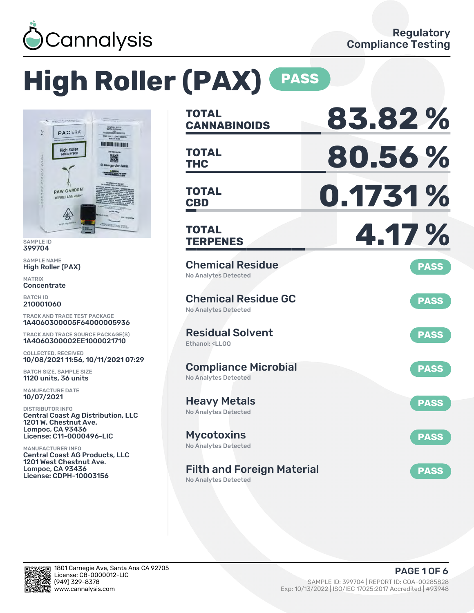

# **High Roller (PAX) PASS**



SAMPLE ID 399704

SAMPLE NAME High Roller (PAX)

MATRIX **Concentrate** 

BATCH ID 210001060

TRACK AND TRACE TEST PACKAGE 1A4060300005F64000005936

TRACK AND TRACE SOURCE PACKAGE(S) 1A4060300002EE1000021710

COLLECTED, RECEIVED 10/08/2021 11:56, 10/11/2021 07:29

BATCH SIZE, SAMPLE SIZE 1120 units, 36 units

MANUFACTURE DATE 10/07/2021

DISTRIBUTOR INFO Central Coast Ag Distribution, LLC 1201 W. Chestnut Ave. Lompoc, CA 93436 License: C11-0000496-LIC

MANUFACTURER INFO Central Coast AG Products, LLC 1201 West Chestnut Ave. Lompoc, CA 93436 License: CDPH-10003156

| <b>TOTAL</b><br><b>CANNABINOIDS</b>                                           | 83.82%      |
|-------------------------------------------------------------------------------|-------------|
| <b>TOTAL</b><br><b>THC</b>                                                    | 80.56%      |
| TOTAL<br><b>CBD</b>                                                           | 0.1731 %    |
| <b>TOTAL</b><br><b>TERPENES</b>                                               | 4.17%       |
| <b>Chemical Residue</b><br><b>No Analytes Detected</b>                        | <b>PASS</b> |
| <b>Chemical Residue GC</b><br><b>No Analytes Detected</b>                     | <b>PASS</b> |
| <b>Residual Solvent</b><br>Ethanol: <ll00< td=""><td><b>PASS</b></td></ll00<> | <b>PASS</b> |
| <b>Compliance Microbial</b><br><b>No Analytes Detected</b>                    | <b>PASS</b> |
| <b>Heavy Metals</b><br><b>No Analytes Detected</b>                            | <b>PASS</b> |
| <b>Mycotoxins</b><br>No Analytes Detected                                     | <b>PASS</b> |
| <b>Filth and Foreign Material</b><br><b>No Analytes Detected</b>              | <b>PASS</b> |

in.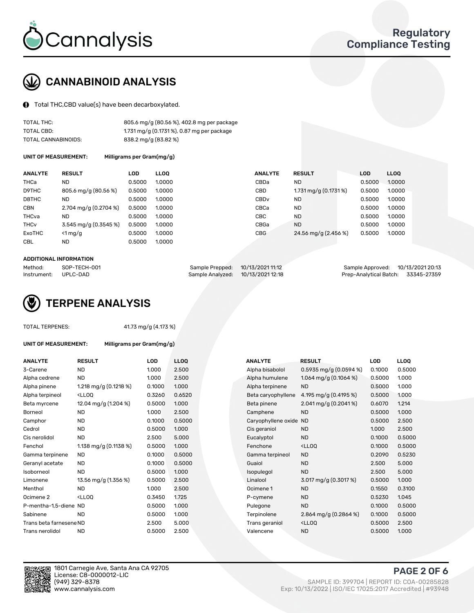

# CANNABINOID ANALYSIS

Total THC,CBD value(s) have been decarboxylated.

| TOTAL THC:          | 805.6 mg/g (80.56 %), 402.8 mg per package |
|---------------------|--------------------------------------------|
| TOTAL CBD:          | 1.731 mg/g (0.1731 %), 0.87 mg per package |
| TOTAL CANNABINOIDS: | 838.2 mg/g (83.82 %)                       |

UNIT OF MEASUREMENT: Milligrams per Gram(mg/g)

| <b>ANALYTE</b>         | <b>RESULT</b>           | LOD    | <b>LLOO</b> | <b>ANALYTE</b>   | <b>RESULT</b>           | <b>LOD</b> | LL <sub>00</sub> |
|------------------------|-------------------------|--------|-------------|------------------|-------------------------|------------|------------------|
| THCa                   | <b>ND</b>               | 0.5000 | 1.0000      | CBDa             | <b>ND</b>               | 0.5000     | 1.0000           |
| D9THC                  | 805.6 mg/g (80.56 %)    | 0.5000 | 1.0000      | CBD              | $1.731$ mg/g (0.1731 %) | 0.5000     | 1.0000           |
| D8THC                  | <b>ND</b>               | 0.5000 | 1.0000      | CBD <sub>v</sub> | <b>ND</b>               | 0.5000     | 1.0000           |
| <b>CBN</b>             | 2.704 mg/g $(0.2704\%)$ | 0.5000 | 1.0000      | CBCa             | <b>ND</b>               | 0.5000     | 1.0000           |
| THCva                  | <b>ND</b>               | 0.5000 | 1.0000      | CBC              | <b>ND</b>               | 0.5000     | 1.0000           |
| <b>THC<sub>v</sub></b> | 3.545 mg/g (0.3545 %)   | 0.5000 | 1.0000      | CBGa             | <b>ND</b>               | 0.5000     | 1.0000           |
| ExoTHC                 | $<$ 1 mg/g              | 0.5000 | 1.0000      | <b>CBG</b>       | 24.56 mg/g (2.456 %)    | 0.5000     | 1.0000           |
| <b>CBL</b>             | <b>ND</b>               | 0.5000 | 1.0000      |                  |                         |            |                  |
|                        |                         |        |             |                  |                         |            |                  |

### ADDITIONAL INFORMATION

| Method:     | SOP-TECH-001 | Sample Prepped: 10/13/2021 11:12  | Sample Approved: 10/13/2021 20:13  |  |
|-------------|--------------|-----------------------------------|------------------------------------|--|
| Instrument: | UPLC-DAD     | Sample Analyzed: 10/13/2021 12:18 | Prep-Analytical Batch: 33345-27359 |  |



#### OTAL TERPENES

| UNIT OF MEASUREMENT:    | Milligrams per Gram(mg/g)                                                                                                                              |            |             |                        |                                                    |            |             |
|-------------------------|--------------------------------------------------------------------------------------------------------------------------------------------------------|------------|-------------|------------------------|----------------------------------------------------|------------|-------------|
| <b>ANALYTE</b>          | <b>RESULT</b>                                                                                                                                          | <b>LOD</b> | <b>LLOQ</b> | <b>ANALYTE</b>         | <b>RESULT</b>                                      | <b>LOD</b> | <b>LLOQ</b> |
| 3-Carene                | <b>ND</b>                                                                                                                                              | 1.000      | 2.500       | Alpha bisabolol        | 0.5935 mg/g (0.0594 %)                             | 0.1000     | 0.500       |
| Alpha cedrene           | <b>ND</b>                                                                                                                                              | 1.000      | 2.500       | Alpha humulene         | 1.064 mg/g $(0.1064\%)$                            | 0.5000     | 1.000       |
| Alpha pinene            | 1.218 mg/g $(0.1218\%)$                                                                                                                                | 0.1000     | 1.000       | Alpha terpinene        | <b>ND</b>                                          | 0.5000     | 1.000       |
| Alpha terpineol         | <lloo< td=""><td>0.3260</td><td>0.6520</td><td>Beta caryophyllene</td><td>4.195 mg/g <math>(0.4195\%)</math></td><td>0.5000</td><td>1.000</td></lloo<> | 0.3260     | 0.6520      | Beta caryophyllene     | 4.195 mg/g $(0.4195\%)$                            | 0.5000     | 1.000       |
| Beta myrcene            | 12.04 mg/g (1.204 %)                                                                                                                                   | 0.5000     | 1.000       | Beta pinene            | $2.041$ mg/g $(0.2041\%)$                          | 0.6070     | 1.214       |
| Borneol                 | <b>ND</b>                                                                                                                                              | 1.000      | 2.500       | Camphene               | <b>ND</b>                                          | 0.5000     | 1.000       |
| Camphor                 | <b>ND</b>                                                                                                                                              | 0.1000     | 0.5000      | Caryophyllene oxide ND |                                                    | 0.5000     | 2.500       |
| Cedrol                  | <b>ND</b>                                                                                                                                              | 0.5000     | 1.000       | Cis geraniol           | <b>ND</b>                                          | 1.000      | 2.500       |
| Cis nerolidol           | <b>ND</b>                                                                                                                                              | 2.500      | 5.000       | Eucalyptol             | <b>ND</b>                                          | 0.1000     | 0.500       |
| Fenchol                 | 1.138 mg/g $(0.1138%)$                                                                                                                                 | 0.5000     | 1.000       | Fenchone               | <lloq< td=""><td>0.1000</td><td>0.500</td></lloq<> | 0.1000     | 0.500       |
| Gamma terpinene         | <b>ND</b>                                                                                                                                              | 0.1000     | 0.5000      | Gamma terpineol        | <b>ND</b>                                          | 0.2090     | 0.523       |
| Geranyl acetate         | <b>ND</b>                                                                                                                                              | 0.1000     | 0.5000      | Guaiol                 | <b>ND</b>                                          | 2.500      | 5.000       |
| Isoborneol              | <b>ND</b>                                                                                                                                              | 0.5000     | 1.000       | Isopulegol             | <b>ND</b>                                          | 2.500      | 5.000       |
| Limonene                | 13.56 mg/g (1.356 %)                                                                                                                                   | 0.5000     | 2.500       | Linalool               | 3.017 mg/g (0.3017 %)                              | 0.5000     | 1.000       |
| Menthol                 | <b>ND</b>                                                                                                                                              | 1.000      | 2.500       | Ocimene 1              | <b>ND</b>                                          | 0.1550     | 0.310       |
| Ocimene <sub>2</sub>    | <lloo< td=""><td>0.3450</td><td>1.725</td><td>P-cymene</td><td><b>ND</b></td><td>0.5230</td><td>1.045</td></lloo<>                                     | 0.3450     | 1.725       | P-cymene               | <b>ND</b>                                          | 0.5230     | 1.045       |
| P-mentha-1,5-diene ND   |                                                                                                                                                        | 0.5000     | 1.000       | Pulegone               | <b>ND</b>                                          | 0.1000     | 0.500       |
| Sabinene                | <b>ND</b>                                                                                                                                              | 0.5000     | 1.000       | Terpinolene            | 2.864 mg/g $(0.2864\%)$                            | 0.1000     | 0.500       |
| Trans beta farnesene ND |                                                                                                                                                        | 2.500      | 5.000       | Trans geraniol         | <lloq< td=""><td>0.5000</td><td>2.500</td></lloq<> | 0.5000     | 2.500       |
| Trans nerolidol         | <b>ND</b>                                                                                                                                              | 0.5000     | 2.500       | Valencene              | <b>ND</b>                                          | 0.5000     | 1.000       |

| ANALYTE                 | <b>RESULT</b>                                                                                                                                          | <b>LOD</b> | <b>LLOQ</b> | <b>ANALYTE</b>         | <b>RESULT</b>                                       | <b>LOD</b> | <b>LLOQ</b> |
|-------------------------|--------------------------------------------------------------------------------------------------------------------------------------------------------|------------|-------------|------------------------|-----------------------------------------------------|------------|-------------|
| 3-Carene                | <b>ND</b>                                                                                                                                              | 1.000      | 2.500       | Alpha bisabolol        | $0.5935$ mg/g $(0.0594\%)$                          | 0.1000     | 0.5000      |
| Alpha cedrene           | <b>ND</b>                                                                                                                                              | 1.000      | 2.500       | Alpha humulene         | 1.064 mg/g $(0.1064\%)$                             | 0.5000     | 1.000       |
| Alpha pinene            | 1.218 mg/g $(0.1218\%)$                                                                                                                                | 0.1000     | 1.000       | Alpha terpinene        | <b>ND</b>                                           | 0.5000     | 1.000       |
| Alpha terpineol         | <lloq< td=""><td>0.3260</td><td>0.6520</td><td>Beta caryophyllene</td><td>4.195 mg/g <math>(0.4195\%)</math></td><td>0.5000</td><td>1.000</td></lloq<> | 0.3260     | 0.6520      | Beta caryophyllene     | 4.195 mg/g $(0.4195\%)$                             | 0.5000     | 1.000       |
| Beta myrcene            | 12.04 mg/g (1.204 %)                                                                                                                                   | 0.5000     | 1.000       | Beta pinene            | $2.041$ mg/g $(0.2041\%)$                           | 0.6070     | 1.214       |
| Borneol                 | <b>ND</b>                                                                                                                                              | 1.000      | 2.500       | Camphene               | <b>ND</b>                                           | 0.5000     | 1.000       |
| Camphor                 | <b>ND</b>                                                                                                                                              | 0.1000     | 0.5000      | Caryophyllene oxide ND |                                                     | 0.5000     | 2.500       |
| Cedrol                  | <b>ND</b>                                                                                                                                              | 0.5000     | 1.000       | Cis geraniol           | <b>ND</b>                                           | 1.000      | 2.500       |
| Cis nerolidol           | <b>ND</b>                                                                                                                                              | 2.500      | 5.000       | Eucalyptol             | <b>ND</b>                                           | 0.1000     | 0.5000      |
| Fenchol                 | 1.138 mg/g $(0.1138%)$                                                                                                                                 | 0.5000     | 1.000       | Fenchone               | <lloq< td=""><td>0.1000</td><td>0.5000</td></lloq<> | 0.1000     | 0.5000      |
| Gamma terpinene         | <b>ND</b>                                                                                                                                              | 0.1000     | 0.5000      | Gamma terpineol        | <b>ND</b>                                           | 0.2090     | 0.5230      |
| Geranyl acetate         | <b>ND</b>                                                                                                                                              | 0.1000     | 0.5000      | Guaiol                 | <b>ND</b>                                           | 2.500      | 5.000       |
| Isoborneol              | <b>ND</b>                                                                                                                                              | 0.5000     | 1.000       | Isopulegol             | <b>ND</b>                                           | 2.500      | 5.000       |
| Limonene                | 13.56 mg/g (1.356 %)                                                                                                                                   | 0.5000     | 2.500       | Linalool               | 3.017 mg/g (0.3017 %)                               | 0.5000     | 1.000       |
| Menthol                 | <b>ND</b>                                                                                                                                              | 1.000      | 2.500       | Ocimene 1              | <b>ND</b>                                           | 0.1550     | 0.3100      |
| Ocimene 2               | <lloq< td=""><td>0.3450</td><td>1.725</td><td>P-cymene</td><td><b>ND</b></td><td>0.5230</td><td>1.045</td></lloq<>                                     | 0.3450     | 1.725       | P-cymene               | <b>ND</b>                                           | 0.5230     | 1.045       |
| P-mentha-1,5-diene ND   |                                                                                                                                                        | 0.5000     | 1.000       | Pulegone               | <b>ND</b>                                           | 0.1000     | 0.5000      |
| Sabinene                | <b>ND</b>                                                                                                                                              | 0.5000     | 1.000       | Terpinolene            | 2.864 mg/g $(0.2864\%)$                             | 0.1000     | 0.5000      |
| Trans beta farnesene ND |                                                                                                                                                        | 2.500      | 5.000       | Trans geraniol         | <lloq< td=""><td>0.5000</td><td>2.500</td></lloq<>  | 0.5000     | 2.500       |
| Trans nerolidol         | <b>ND</b>                                                                                                                                              | 0.5000     | 2.500       | Valencene              | <b>ND</b>                                           | 0.5000     | 1.000       |



1801 Carnegie Ave, Santa Ana CA 92705 License: C8-0000012-LIC<br>(949) 329-8378 (949) 329-8378 SAMPLE ID: 399704 | REPORT ID: COA-00285828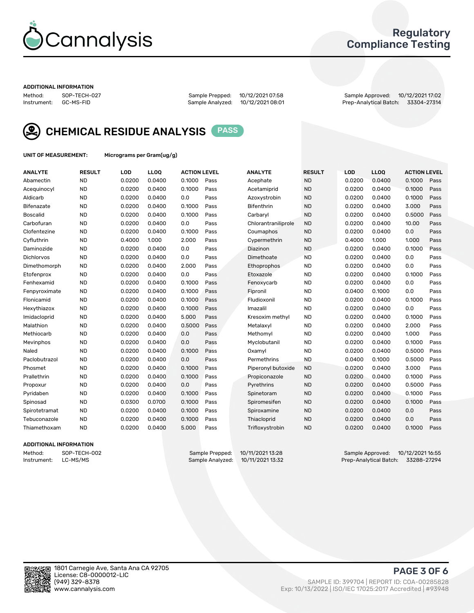

### Regulatory Compliance Testing

#### ADDITIONAL INFORMATION

Method: SOP-TECH-027 Sample Prepped: 10/12/2021 07:58 Sample Approved: 10/12/2021 17:02 Prep-Analytical Batch: 33304-27314



CHEMICAL RESIDUE ANALYSIS PASS

UNIT OF MEASUREMENT: Micrograms per Gram(ug/g)

| <b>ANALYTE</b>    | <b>RESULT</b> | LOD    | LL <sub>OO</sub> | <b>ACTION LEVEL</b> |      | <b>ANALYTE</b>      | <b>RESULT</b> | LOD    | <b>LLOQ</b> | <b>ACTION LEVEL</b> |      |
|-------------------|---------------|--------|------------------|---------------------|------|---------------------|---------------|--------|-------------|---------------------|------|
| Abamectin         | <b>ND</b>     | 0.0200 | 0.0400           | 0.1000              | Pass | Acephate            | <b>ND</b>     | 0.0200 | 0.0400      | 0.1000              | Pass |
| Acequinocyl       | <b>ND</b>     | 0.0200 | 0.0400           | 0.1000              | Pass | Acetamiprid         | <b>ND</b>     | 0.0200 | 0.0400      | 0.1000              | Pass |
| Aldicarb          | <b>ND</b>     | 0.0200 | 0.0400           | 0.0                 | Pass | Azoxystrobin        | <b>ND</b>     | 0.0200 | 0.0400      | 0.1000              | Pass |
| Bifenazate        | <b>ND</b>     | 0.0200 | 0.0400           | 0.1000              | Pass | <b>Bifenthrin</b>   | <b>ND</b>     | 0.0200 | 0.0400      | 3.000               | Pass |
| <b>Boscalid</b>   | <b>ND</b>     | 0.0200 | 0.0400           | 0.1000              | Pass | Carbaryl            | <b>ND</b>     | 0.0200 | 0.0400      | 0.5000              | Pass |
| Carbofuran        | <b>ND</b>     | 0.0200 | 0.0400           | 0.0                 | Pass | Chlorantraniliprole | <b>ND</b>     | 0.0200 | 0.0400      | 10.00               | Pass |
| Clofentezine      | <b>ND</b>     | 0.0200 | 0.0400           | 0.1000              | Pass | Coumaphos           | <b>ND</b>     | 0.0200 | 0.0400      | 0.0                 | Pass |
| Cyfluthrin        | <b>ND</b>     | 0.4000 | 1.000            | 2.000               | Pass | Cypermethrin        | <b>ND</b>     | 0.4000 | 1.000       | 1.000               | Pass |
| Daminozide        | <b>ND</b>     | 0.0200 | 0.0400           | 0.0                 | Pass | Diazinon            | <b>ND</b>     | 0.0200 | 0.0400      | 0.1000              | Pass |
| <b>Dichlorvos</b> | <b>ND</b>     | 0.0200 | 0.0400           | 0.0                 | Pass | Dimethoate          | <b>ND</b>     | 0.0200 | 0.0400      | 0.0                 | Pass |
| Dimethomorph      | <b>ND</b>     | 0.0200 | 0.0400           | 2.000               | Pass | Ethoprophos         | <b>ND</b>     | 0.0200 | 0.0400      | 0.0                 | Pass |
| Etofenprox        | <b>ND</b>     | 0.0200 | 0.0400           | 0.0                 | Pass | Etoxazole           | <b>ND</b>     | 0.0200 | 0.0400      | 0.1000              | Pass |
| Fenhexamid        | <b>ND</b>     | 0.0200 | 0.0400           | 0.1000              | Pass | Fenoxycarb          | <b>ND</b>     | 0.0200 | 0.0400      | 0.0                 | Pass |
| Fenpyroximate     | <b>ND</b>     | 0.0200 | 0.0400           | 0.1000              | Pass | Fipronil            | <b>ND</b>     | 0.0400 | 0.1000      | 0.0                 | Pass |
| Flonicamid        | <b>ND</b>     | 0.0200 | 0.0400           | 0.1000              | Pass | Fludioxonil         | <b>ND</b>     | 0.0200 | 0.0400      | 0.1000              | Pass |
| Hexythiazox       | <b>ND</b>     | 0.0200 | 0.0400           | 0.1000              | Pass | Imazalil            | <b>ND</b>     | 0.0200 | 0.0400      | 0.0                 | Pass |
| Imidacloprid      | <b>ND</b>     | 0.0200 | 0.0400           | 5.000               | Pass | Kresoxim methyl     | <b>ND</b>     | 0.0200 | 0.0400      | 0.1000              | Pass |
| Malathion         | <b>ND</b>     | 0.0200 | 0.0400           | 0.5000              | Pass | Metalaxyl           | <b>ND</b>     | 0.0200 | 0.0400      | 2.000               | Pass |
| Methiocarb        | <b>ND</b>     | 0.0200 | 0.0400           | 0.0                 | Pass | Methomyl            | <b>ND</b>     | 0.0200 | 0.0400      | 1.000               | Pass |
| Mevinphos         | <b>ND</b>     | 0.0200 | 0.0400           | 0.0                 | Pass | Myclobutanil        | <b>ND</b>     | 0.0200 | 0.0400      | 0.1000              | Pass |
| Naled             | <b>ND</b>     | 0.0200 | 0.0400           | 0.1000              | Pass | Oxamyl              | <b>ND</b>     | 0.0200 | 0.0400      | 0.5000              | Pass |
| Paclobutrazol     | <b>ND</b>     | 0.0200 | 0.0400           | 0.0                 | Pass | Permethrins         | <b>ND</b>     | 0.0400 | 0.1000      | 0.5000              | Pass |
| Phosmet           | <b>ND</b>     | 0.0200 | 0.0400           | 0.1000              | Pass | Piperonyl butoxide  | <b>ND</b>     | 0.0200 | 0.0400      | 3.000               | Pass |
| Prallethrin       | <b>ND</b>     | 0.0200 | 0.0400           | 0.1000              | Pass | Propiconazole       | <b>ND</b>     | 0.0200 | 0.0400      | 0.1000              | Pass |
| Propoxur          | <b>ND</b>     | 0.0200 | 0.0400           | 0.0                 | Pass | Pyrethrins          | <b>ND</b>     | 0.0200 | 0.0400      | 0.5000              | Pass |
| Pyridaben         | <b>ND</b>     | 0.0200 | 0.0400           | 0.1000              | Pass | Spinetoram          | <b>ND</b>     | 0.0200 | 0.0400      | 0.1000              | Pass |
| Spinosad          | <b>ND</b>     | 0.0300 | 0.0700           | 0.1000              | Pass | Spiromesifen        | <b>ND</b>     | 0.0200 | 0.0400      | 0.1000              | Pass |
| Spirotetramat     | <b>ND</b>     | 0.0200 | 0.0400           | 0.1000              | Pass | Spiroxamine         | <b>ND</b>     | 0.0200 | 0.0400      | 0.0                 | Pass |
| Tebuconazole      | <b>ND</b>     | 0.0200 | 0.0400           | 0.1000              | Pass | Thiacloprid         | <b>ND</b>     | 0.0200 | 0.0400      | 0.0                 | Pass |
| Thiamethoxam      | <b>ND</b>     | 0.0200 | 0.0400           | 5.000               | Pass | Trifloxystrobin     | <b>ND</b>     | 0.0200 | 0.0400      | 0.1000              | Pass |

### ADDITIONAL INFORMATION

Method: SOP-TECH-002 Sample Prepped: 10/11/2021 13:28 Sample Approved: 10/12/2021 16:55<br>Instrument: LC-MS/MS Sample Analyzed: 10/11/2021 13:32 Prep-Analytical Batch: 33288-27294 Prep-Analytical Batch: 33288-27294

PAGE 3 OF 6

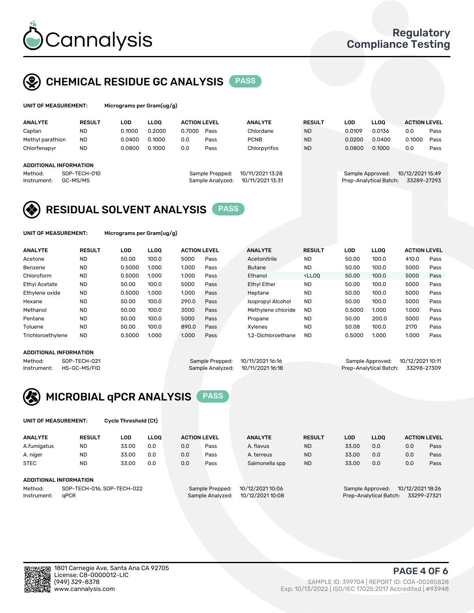

### CHEMICAL RESIDUE GC ANALYSIS PASS

| UNIT OF MEASUREMENT: |               | Micrograms per Gram(ug/g) |        |                     |      |                |               |        |             |                     |      |
|----------------------|---------------|---------------------------|--------|---------------------|------|----------------|---------------|--------|-------------|---------------------|------|
| <b>ANALYTE</b>       | <b>RESULT</b> | LOD                       | LLOO   | <b>ACTION LEVEL</b> |      | <b>ANALYTE</b> | <b>RESULT</b> | LOD    | <b>LLOO</b> | <b>ACTION LEVEL</b> |      |
| Captan               | <b>ND</b>     | 0.1000                    | 0.2000 | 0.7000              | Pass | Chlordane      | <b>ND</b>     | 0.0109 | 0.0136      | 0.0                 | Pass |
| Methyl parathion     | <b>ND</b>     | 0.0400                    | 0.1000 | 0.0                 | Pass | <b>PCNB</b>    | <b>ND</b>     | 0.0200 | 0.0400      | 0.1000              | Pass |
| Chlorfenapyr         | <b>ND</b>     | 0.0800                    | 0.1000 | 0.0                 | Pass | Chlorpyrifos   | <b>ND</b>     | 0.0800 | 0.1000      | 0.0                 | Pass |

### ADDITIONAL INFORMATION

Instrument: GC-MS/MS Sample Analyzed: 10/11/2021 13:31 Prep-Analytical Batch: 33289-27293

Method: SOP-TECH-010 Sample Prepped: 10/11/2021 13:28 Sample Approved: 10/12/2021 15:49

## RESIDUAL SOLVENT ANALYSIS **PASS**

UNIT OF MEASUREMENT: Micrograms per Gram(ug/g)

| <b>ANALYTE</b>       | <b>RESULT</b> | LOD    | <b>LLOO</b> | <b>ACTION LEVEL</b> |      | <b>ANALYTE</b>           | <b>RESULT</b>                                                               | LOD    | LLOO  | <b>ACTION LEVEL</b> |      |
|----------------------|---------------|--------|-------------|---------------------|------|--------------------------|-----------------------------------------------------------------------------|--------|-------|---------------------|------|
| Acetone              | <b>ND</b>     | 50.00  | 100.0       | 5000                | Pass | Acetonitrile             | <b>ND</b>                                                                   | 50.00  | 100.0 | 410.0               | Pass |
| Benzene              | <b>ND</b>     | 0.5000 | 1.000       | 1.000               | Pass | <b>Butane</b>            | <b>ND</b>                                                                   | 50.00  | 100.0 | 5000                | Pass |
| Chloroform           | <b>ND</b>     | 0.5000 | 1.000       | 1.000               | Pass | Ethanol                  | <lloo< td=""><td>50.00</td><td>100.0</td><td>5000</td><td>Pass</td></lloo<> | 50.00  | 100.0 | 5000                | Pass |
| <b>Ethyl Acetate</b> | <b>ND</b>     | 50.00  | 100.0       | 5000                | Pass | <b>Ethyl Ether</b>       | <b>ND</b>                                                                   | 50.00  | 100.0 | 5000                | Pass |
| Ethylene oxide       | <b>ND</b>     | 0.5000 | 1.000       | 1.000               | Pass | Heptane                  | <b>ND</b>                                                                   | 50.00  | 100.0 | 5000                | Pass |
| Hexane               | <b>ND</b>     | 50.00  | 100.0       | 290.0               | Pass | <b>Isopropyl Alcohol</b> | <b>ND</b>                                                                   | 50.00  | 100.0 | 5000                | Pass |
| Methanol             | <b>ND</b>     | 50.00  | 100.0       | 3000                | Pass | Methylene chloride       | <b>ND</b>                                                                   | 0.5000 | 1.000 | 1.000               | Pass |
| Pentane              | <b>ND</b>     | 50.00  | 100.0       | 5000                | Pass | Propane                  | <b>ND</b>                                                                   | 50.00  | 200.0 | 5000                | Pass |
| Toluene              | <b>ND</b>     | 50.00  | 100.0       | 890.0               | Pass | Xvlenes                  | <b>ND</b>                                                                   | 50.08  | 100.0 | 2170                | Pass |
| Trichloroethylene    | <b>ND</b>     | 0.5000 | 1.000       | 1.000               | Pass | 1.2-Dichloroethane       | <b>ND</b>                                                                   | 0.5000 | 1.000 | 1.000               | Pass |

#### ADDITIONAL INFORMATION

Method: SOP-TECH-021 Sample Prepped: 10/11/2021 16:16 Sample Approved: 10/12/2021 10:11<br>Instrument: HS-GC-MS/FID Sample Analyzed: 10/11/2021 16:18 Prep-Analytical Batch: 33298-27309

Prep-Analytical Batch: 33298-27309



UNIT OF MEASUREMENT: Cycle Threshold (Ct)

| <b>ANALYTE</b> | <b>RESULT</b>              | LOD   | <b>LLOO</b> |     | <b>ACTION LEVEL</b> | <b>ANALYTE</b>   | <b>RESULT</b> | LOD   | LL <sub>00</sub>       |                  | <b>ACTION LEVEL</b> |
|----------------|----------------------------|-------|-------------|-----|---------------------|------------------|---------------|-------|------------------------|------------------|---------------------|
| A.fumigatus    | <b>ND</b>                  | 33.00 | 0.0         | 0.0 | Pass                | A. flavus        | <b>ND</b>     | 33.00 | 0.0                    | 0.0              | Pass                |
| A. niger       | <b>ND</b>                  | 33.00 | 0.0         | 0.0 | Pass                | A. terreus       | <b>ND</b>     | 33.00 | 0.0                    | 0.0              | Pass                |
| <b>STEC</b>    | <b>ND</b>                  | 33.00 | 0.0         | 0.0 | Pass                | Salmonella spp   | <b>ND</b>     | 33.00 | 0.0                    | 0.0              | Pass                |
|                | ADDITIONAL INFORMATION     |       |             |     |                     |                  |               |       |                        |                  |                     |
| Method:        | SOP-TECH-016, SOP-TECH-022 |       |             |     | Sample Prepped:     | 10/12/2021 10:06 |               |       | Sample Approved:       | 10/12/2021 18:26 |                     |
| Instrument:    | aPCR                       |       |             |     | Sample Analyzed:    | 10/12/2021 10:08 |               |       | Prep-Analytical Batch: |                  | 33299-27321         |



PAGE 4 OF 6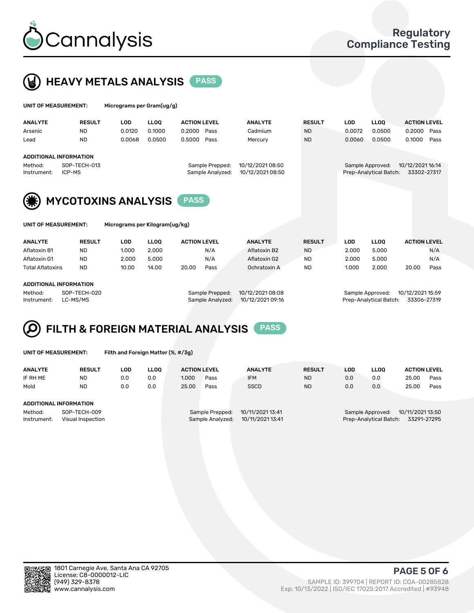



| UNIT OF MEASUREMENT: |                               | Micrograms per Gram(ug/g) |             |                     |                  |               |            |                        |                     |      |
|----------------------|-------------------------------|---------------------------|-------------|---------------------|------------------|---------------|------------|------------------------|---------------------|------|
| <b>ANALYTE</b>       | <b>RESULT</b>                 | <b>LOD</b>                | <b>LLOO</b> | <b>ACTION LEVEL</b> | <b>ANALYTE</b>   | <b>RESULT</b> | <b>LOD</b> | LLOO <sup>1</sup>      | <b>ACTION LEVEL</b> |      |
| Arsenic              | <b>ND</b>                     | 0.0120                    | 0.1000      | 0.2000<br>Pass      | Cadmium          | <b>ND</b>     | 0.0072     | 0.0500                 | 0.2000              | Pass |
| Lead                 | <b>ND</b>                     | 0.0068                    | 0.0500      | 0.5000<br>Pass      | Mercury          | <b>ND</b>     | 0.0060     | 0.0500                 | 0.1000              | Pass |
|                      | <b>ADDITIONAL INFORMATION</b> |                           |             |                     |                  |               |            |                        |                     |      |
| Method:              | SOP-TECH-013                  |                           |             | Sample Prepped:     | 10/12/2021 08:50 |               |            | Sample Approved:       | 10/12/2021 16:14    |      |
| Instrument:          | ICP-MS                        |                           |             | Sample Analyzed:    | 10/12/2021 08:50 |               |            | Prep-Analytical Batch: | 33302-27317         |      |
| $\sim$               |                               |                           |             |                     |                  |               |            |                        |                     |      |



**WE MYCOTOXINS ANALYSIS** PASS

| UNIT OF MEASUREMENT: |  |
|----------------------|--|
|----------------------|--|

Micrograms per Kilogram(ug/kg)

| <b>ANALYTE</b>          | <b>RESULT</b> | LOD.  | <b>LLOO</b> | <b>ACTION LEVEL</b> |      | <b>ANALYTE</b> | <b>RESULT</b> | LOD   | <b>LLOO</b> | <b>ACTION LEVEL</b> |      |
|-------------------------|---------------|-------|-------------|---------------------|------|----------------|---------------|-------|-------------|---------------------|------|
| Aflatoxin B1            | <b>ND</b>     | 1.000 | 2.000       |                     | N/A  | Aflatoxin B2   | <b>ND</b>     | 2.000 | 5.000       |                     | N/A  |
| Aflatoxin G1            | <b>ND</b>     | 2.000 | 5.000       |                     | N/A  | Aflatoxin G2   | <b>ND</b>     | 2.000 | 5.000       |                     | N/A  |
| <b>Total Aflatoxins</b> | <b>ND</b>     | 10.00 | 14.00       | 20.00               | Pass | Ochratoxin A   | <b>ND</b>     | 1.000 | 2.000       | 20.00               | Pass |
|                         |               |       |             |                     |      |                |               |       |             |                     |      |

### ADDITIONAL INFORMATION

Method: SOP-TECH-020 Sample Prepped: 10/12/2021 08:08 Sample Approved: 10/12/2021 15:59 Instrument: LC-MS/MS Sample Analyzed: 10/12/2021 09:16 Prep-Analytical Batch: 33306-27319



UNIT OF MEASUREMENT: Filth and Foreign Matter (%, #/3g)

| <b>ANALYTE</b>         | <b>RESULT</b>                     | LOD | <b>LLOO</b> | <b>ACTION LEVEL</b> |                                     | <b>ANALYTE</b>                       | <b>RESULT</b> | LOD | <b>LLOO</b>                                | <b>ACTION LEVEL</b>             |      |
|------------------------|-----------------------------------|-----|-------------|---------------------|-------------------------------------|--------------------------------------|---------------|-----|--------------------------------------------|---------------------------------|------|
| IF RH ME               | <b>ND</b>                         | 0.0 | 0.0         | 1.000               | Pass                                | <b>IFM</b>                           | <b>ND</b>     | 0.0 | 0.0                                        | 25.00                           | Pass |
| Mold                   | <b>ND</b>                         | 0.0 | 0.0         | 25.00               | Pass                                | <b>SSCD</b>                          | <b>ND</b>     | 0.0 | 0.0                                        | 25.00                           | Pass |
| ADDITIONAL INFORMATION |                                   |     |             |                     |                                     |                                      |               |     |                                            |                                 |      |
| Method:<br>Instrument: | SOP-TECH-009<br>Visual Inspection |     |             |                     | Sample Prepped:<br>Sample Analyzed: | 10/11/2021 13:41<br>10/11/2021 13:41 |               |     | Sample Approved:<br>Prep-Analytical Batch: | 10/11/2021 13:50<br>33291-27295 |      |